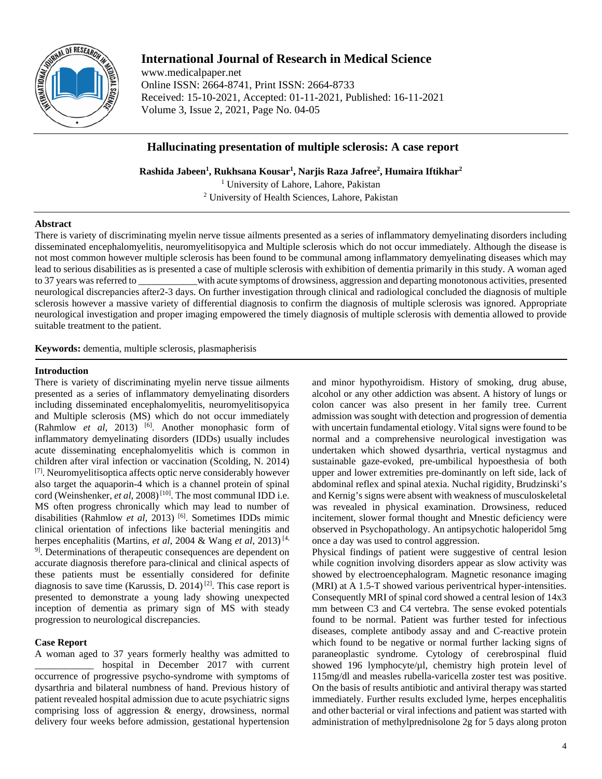

# **International Journal of Research in Medical Science**

www.medicalpaper.net Online ISSN: 2664-8741, Print ISSN: 2664-8733 Received: 15-10-2021, Accepted: 01-11-2021, Published: 16-11-2021 Volume 3, Issue 2, 2021, Page No. 04-05

## **Hallucinating presentation of multiple sclerosis: A case report**

**Rashida Jabeen1 , Rukhsana Kousar1 , Narjis Raza Jafree2 , Humaira Iftikhar2** <sup>1</sup> University of Lahore, Lahore, Pakistan <sup>2</sup> University of Health Sciences, Lahore, Pakistan

## **Abstract**

There is variety of discriminating myelin nerve tissue ailments presented as a series of inflammatory demyelinating disorders including disseminated encephalomyelitis, neuromyelitisopyica and Multiple sclerosis which do not occur immediately. Although the disease is not most common however multiple sclerosis has been found to be communal among inflammatory demyelinating diseases which may lead to serious disabilities as is presented a case of multiple sclerosis with exhibition of dementia primarily in this study. A woman aged to 37 years was referred to \_\_\_\_\_\_\_\_\_\_\_\_with acute symptoms of drowsiness, aggression and departing monotonous activities, presented neurological discrepancies after2-3 days. On further investigation through clinical and radiological concluded the diagnosis of multiple sclerosis however a massive variety of differential diagnosis to confirm the diagnosis of multiple sclerosis was ignored. Appropriate neurological investigation and proper imaging empowered the timely diagnosis of multiple sclerosis with dementia allowed to provide suitable treatment to the patient.

**Keywords:** dementia, multiple sclerosis, plasmapherisis

## **Introduction**

There is variety of discriminating myelin nerve tissue ailments presented as a series of inflammatory demyelinating disorders including disseminated encephalomyelitis, neuromyelitisopyica and Multiple sclerosis (MS) which do not occur immediately (Rahmlow *et al*, 2013) <sup>[6]</sup>. Another monophasic form of inflammatory demyelinating disorders (IDDs) usually includes acute disseminating encephalomyelitis which is common in children after viral infection or vaccination (Scolding, N. 2014) [7]. Neuromyelitisoptica affects optic nerve considerably however also target the aquaporin-4 which is a channel protein of spinal cord (Weinshenker, *et al*, 2008)<sup>[10]</sup>. The most communal IDD i.e. MS often progress chronically which may lead to number of disabilities (Rahmlow *et al*, 2013)<sup>[6]</sup>. Sometimes IDDs mimic clinical orientation of infections like bacterial meningitis and herpes encephalitis (Martins, *et al*, 2004 & Wang *et al*, 2013) [4, <sup>9]</sup>. Determinations of therapeutic consequences are dependent on accurate diagnosis therefore para-clinical and clinical aspects of these patients must be essentially considered for definite diagnosis to save time (Karussis, D. 2014)<sup>[2]</sup>. This case report is presented to demonstrate a young lady showing unexpected inception of dementia as primary sign of MS with steady progression to neurological discrepancies.

## **Case Report**

A woman aged to 37 years formerly healthy was admitted to hospital in December 2017 with current occurrence of progressive psycho-syndrome with symptoms of dysarthria and bilateral numbness of hand. Previous history of patient revealed hospital admission due to acute psychiatric signs comprising loss of aggression & energy, drowsiness, normal delivery four weeks before admission, gestational hypertension and minor hypothyroidism. History of smoking, drug abuse, alcohol or any other addiction was absent. A history of lungs or colon cancer was also present in her family tree. Current admission was sought with detection and progression of dementia with uncertain fundamental etiology. Vital signs were found to be normal and a comprehensive neurological investigation was undertaken which showed dysarthria, vertical nystagmus and sustainable gaze-evoked, pre-umbilical hypoesthesia of both upper and lower extremities pre-dominantly on left side, lack of abdominal reflex and spinal atexia. Nuchal rigidity, Brudzinski's and Kernig's signs were absent with weakness of musculoskeletal was revealed in physical examination. Drowsiness, reduced incitement, slower formal thought and Mnestic deficiency were observed in Psychopathology. An antipsychotic haloperidol 5mg once a day was used to control aggression.

Physical findings of patient were suggestive of central lesion while cognition involving disorders appear as slow activity was showed by electroencephalogram. Magnetic resonance imaging (MRI) at A 1.5-T showed various periventrical hyper-intensities. Consequently MRI of spinal cord showed a central lesion of 14x3 mm between C3 and C4 vertebra. The sense evoked potentials found to be normal. Patient was further tested for infectious diseases, complete antibody assay and and C-reactive protein which found to be negative or normal further lacking signs of paraneoplastic syndrome. Cytology of cerebrospinal fluid showed 196 lymphocyte/µl, chemistry high protein level of 115mg/dl and measles rubella-varicella zoster test was positive. On the basis of results antibiotic and antiviral therapy was started immediately. Further results excluded lyme, herpes encephalitis and other bacterial or viral infections and patient was started with administration of methylprednisolone 2g for 5 days along proton